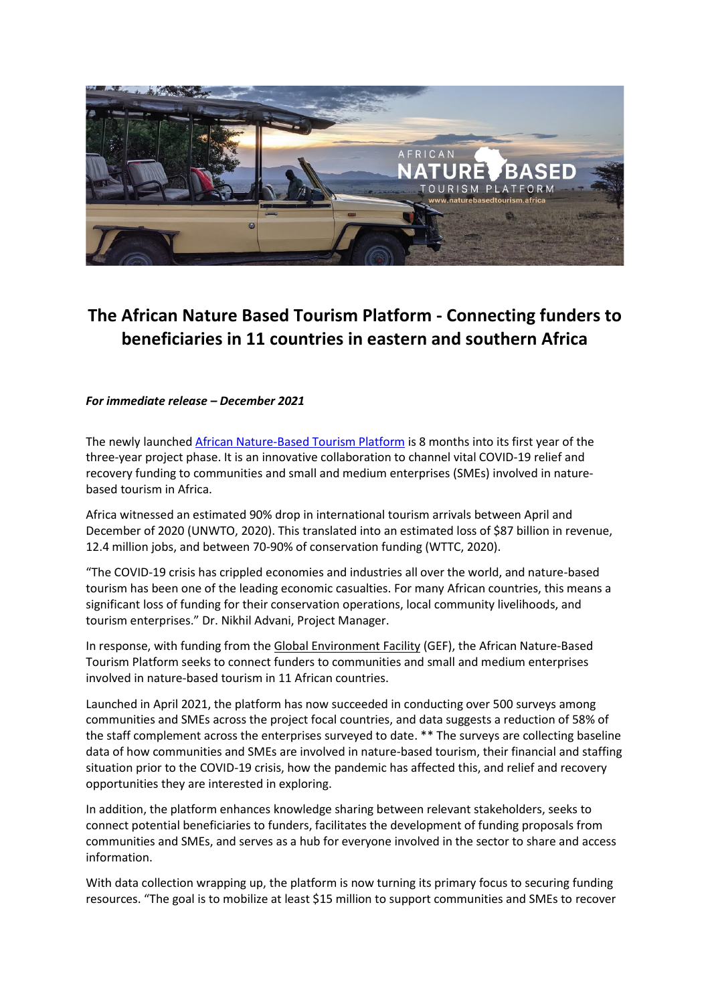

# **The African Nature Based Tourism Platform - Connecting funders to beneficiaries in 11 countries in eastern and southern Africa**

# *For immediate release – December 2021*

The newly launche[d African Nature-Based Tourism Platform](https://naturebasedtourism.africa/) is 8 months into its first year of the three-year project phase. It is an innovative collaboration to channel vital COVID-19 relief and recovery funding to communities and small and medium enterprises (SMEs) involved in naturebased tourism in Africa.

Africa witnessed an estimated 90% drop in international tourism arrivals between April and December of 2020 (UNWTO, 2020). This translated into an estimated loss of \$87 billion in revenue, 12.4 million jobs, and between 70-90% of conservation funding (WTTC, 2020).

"The COVID-19 crisis has crippled economies and industries all over the world, and nature-based tourism has been one of the leading economic casualties. For many African countries, this means a significant loss of funding for their conservation operations, local community livelihoods, and tourism enterprises." Dr. Nikhil Advani, Project Manager.

In response, with funding from th[e Global Environment Facility](https://www.thegef.org/) (GEF), the African Nature-Based Tourism Platform seeks to connect funders to communities and small and medium enterprises involved in nature-based tourism in 11 African countries.

Launched in April 2021, the platform has now succeeded in conducting over 500 surveys among communities and SMEs across the project focal countries, and data suggests a reduction of 58% of the staff complement across the enterprises surveyed to date. \*\* The surveys are collecting baseline data of how communities and SMEs are involved in nature-based tourism, their financial and staffing situation prior to the COVID-19 crisis, how the pandemic has affected this, and relief and recovery opportunities they are interested in exploring.

In addition, the platform enhances knowledge sharing between relevant stakeholders, seeks to connect potential beneficiaries to funders, facilitates the development of funding proposals from communities and SMEs, and serves as a hub for everyone involved in the sector to share and access information.

With data collection wrapping up, the platform is now turning its primary focus to securing funding resources. "The goal is to mobilize at least \$15 million to support communities and SMEs to recover